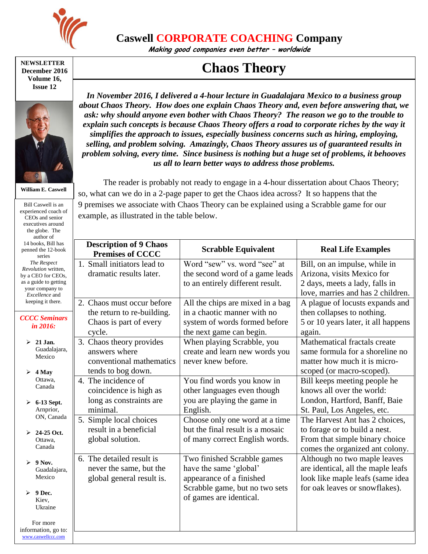

**Caswell CORPORATE COACHING Company**

**Making good companies even better – worldwide**

## **NEWSLETTER December 2016 Volume 16, Issue 12**



**William E. Caswell**

Bill Caswell is an experienced coach of CEOs and senior executives around the globe. The author of 14 books, Bill has penned the 12-book series *The Respect Revolution* written, by a CEO for CEOs, as a guide to getting your company to *Excellence* and keeping it there. *CCCC Seminars in 2016:* **21 Jan.** Mexico  $\geq 4$  May

*In November 2016, I delivered a 4-hour lecture in Guadalajara Mexico to a business group about Chaos Theory. How does one explain Chaos Theory and, even before answering that, we ask: why should anyone even bother with Chaos Theory? The reason we go to the trouble to*  explain such concepts is because Chaos Theory offers a road to corporate riches by the way it *simplifies the approach to issues, especially business concerns such as hiring, employing, selling, and problem solving. Amazingly, Chaos Theory assures us of guaranteed results in problem solving, every time. Since business is nothing but a huge set of problems, it behooves us all to learn better ways to address those problems.*

**Chaos Theory** 

The reader is probably not ready to engage in a 4-hour dissertation about Chaos Theory; so, what can we do in a 2-page paper to get the Chaos idea across? It so happens that the 9 premises we associate with Chaos Theory can be explained using a Scrabble game for our example, as illustrated in the table below.

| 14 books, Bill has<br>penned the 12-book<br>series | <b>Description of 9 Chaos</b><br><b>Premises of CCCC</b> | <b>Scrabble Equivalent</b>       | <b>Real Life Examples</b>                                         |
|----------------------------------------------------|----------------------------------------------------------|----------------------------------|-------------------------------------------------------------------|
| The Respect<br>Revolution written,                 | 1. Small initiators lead to                              | Word "sew" vs. word "see" at     | Bill, on an impulse, while in                                     |
| by a CEO for CEOs,                                 | dramatic results later.                                  | the second word of a game leads  | Arizona, visits Mexico for                                        |
| as a guide to getting<br>your company to           |                                                          | to an entirely different result. | 2 days, meets a lady, falls in                                    |
| <i>Excellence</i> and                              |                                                          |                                  | love, marries and has 2 children.                                 |
| keeping it there.                                  | 2. Chaos must occur before                               | All the chips are mixed in a bag | A plague of locusts expands and                                   |
| <b>CCCC Seminars</b><br>in 2016:                   | the return to re-building.                               | in a chaotic manner with no      | then collapses to nothing.                                        |
|                                                    | Chaos is part of every                                   | system of words formed before    | 5 or 10 years later, it all happens                               |
|                                                    | cycle.                                                   | the next game can begin.         | again.                                                            |
| $\geq 21$ Jan.                                     | 3. Chaos theory provides                                 | When playing Scrabble, you       | Mathematical fractals create                                      |
| Guadalajara,<br>Mexico                             | answers where                                            | create and learn new words you   | same formula for a shoreline no                                   |
|                                                    | conventional mathematics                                 | never knew before.               | matter how much it is micro-                                      |
| 4 May                                              | tends to bog down.                                       |                                  | scoped (or macro-scoped).                                         |
| Ottawa.<br>Canada                                  | 4. The incidence of                                      | You find words you know in       | Bill keeps meeting people he                                      |
|                                                    | coincidence is high as                                   | other languages even though      | knows all over the world:                                         |
| 6-13 Sept.                                         | long as constraints are                                  | you are playing the game in      | London, Hartford, Banff, Baie                                     |
| Amprior,<br>ON, Canada                             | minimal.                                                 | English.                         | St. Paul, Los Angeles, etc.                                       |
|                                                    | 5. Simple local choices                                  | Choose only one word at a time   | The Harvest Ant has 2 choices,                                    |
| $▶ 24-25$ Oct.<br>Ottawa.<br>Canada                | result in a beneficial                                   | but the final result is a mosaic | to forage or to build a nest.                                     |
|                                                    | global solution.                                         | of many correct English words.   | From that simple binary choice<br>comes the organized ant colony. |
| $> 9$ Nov.<br>Guadalajara,<br>Mexico               | 6. The detailed result is                                | Two finished Scrabble games      | Although no two maple leaves                                      |
|                                                    | never the same, but the                                  | have the same 'global'           | are identical, all the maple leafs                                |
|                                                    | global general result is.                                | appearance of a finished         | look like maple leafs (same idea                                  |
|                                                    |                                                          | Scrabble game, but no two sets   | for oak leaves or snowflakes).                                    |
| 9 Dec.<br>Kiev,                                    |                                                          | of games are identical.          |                                                                   |
| Ukraine                                            |                                                          |                                  |                                                                   |
| For more                                           |                                                          |                                  |                                                                   |
| information, go to:<br>www.caswellccc.com          |                                                          |                                  |                                                                   |